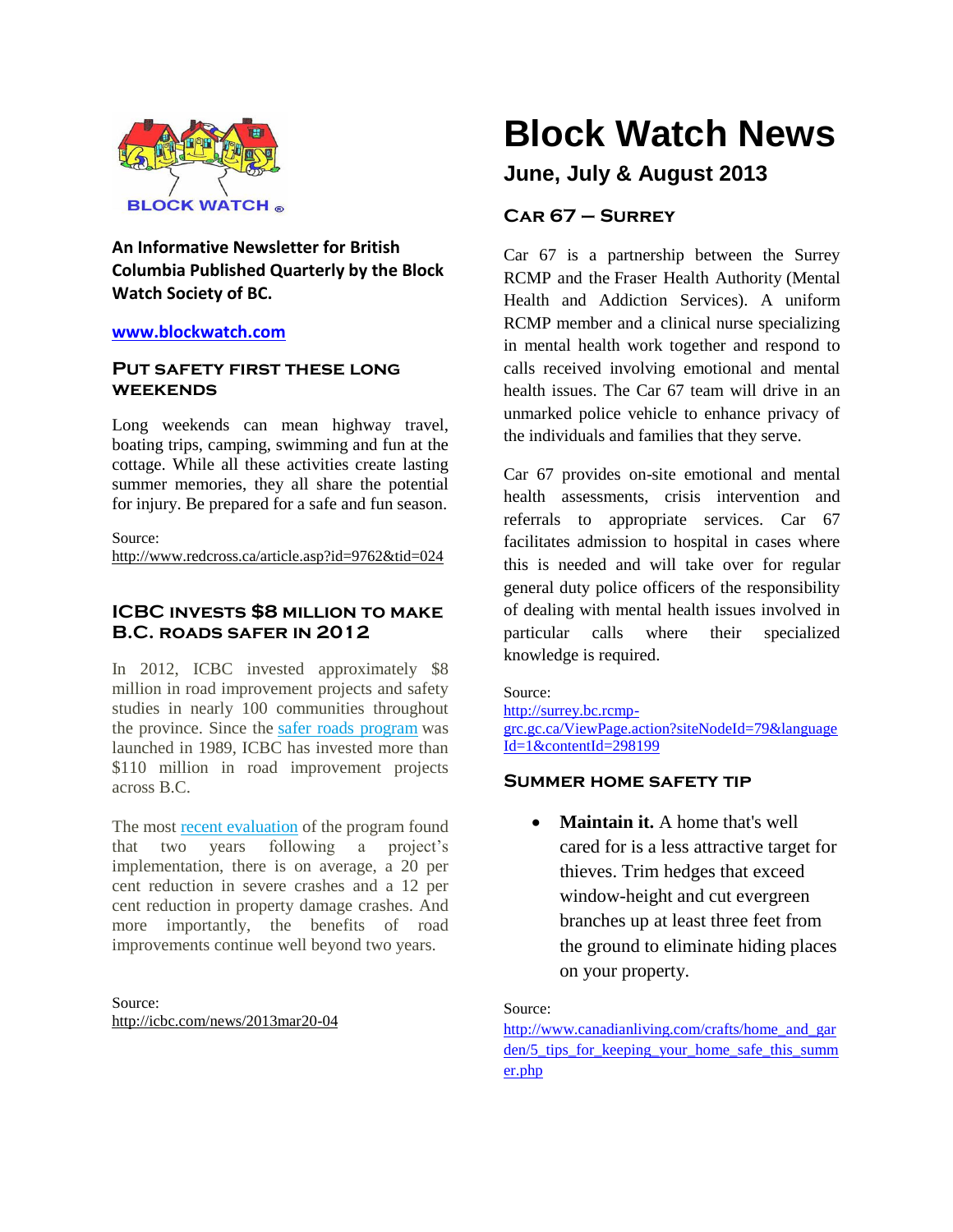

**An Informative Newsletter for British Columbia Published Quarterly by the Block Watch Society of BC.**

# **[www.blockwatch.com](http://www.blockwatch.com/)**

# **Put safety first these long weekends**

Long weekends can mean highway travel, boating trips, camping, swimming and fun at the cottage. While all these activities create lasting summer memories, they all share the potential for injury. Be prepared for a safe and fun season.

Source:

http://www.redcross.ca/article.asp?id=9762&tid=024

# **ICBC invests \$8 million to make B.C. roads safer in 2012**

In 2012, ICBC invested approximately \$8 million in road improvement projects and safety studies in nearly 100 communities throughout the province. Since the safer roads [program](http://icbc.com/road-safety/safer-roads) was launched in 1989, ICBC has invested more than \$110 million in road improvement projects across B.C.

The most recent [evaluation](http://icbc.com/road-safety/Safer-roads/eval_report.pdf) of the program found that two years following a project's implementation, there is on average, a 20 per cent reduction in severe crashes and a 12 per cent reduction in property damage crashes. And more importantly, the benefits of road improvements continue well beyond two years.

Source: <http://icbc.com/news/2013mar20-04>

# **Block Watch News**

# **June, July & August 2013**

# **Car 67 – Surrey**

Car 67 is a partnership between the Surrey RCMP and the Fraser Health Authority (Mental Health and Addiction Services). A uniform RCMP member and a clinical nurse specializing in mental health work together and respond to calls received involving emotional and mental health issues. The Car 67 team will drive in an unmarked police vehicle to enhance privacy of the individuals and families that they serve.

Car 67 provides on-site emotional and mental health assessments, crisis intervention and referrals to appropriate services. Car 67 facilitates admission to hospital in cases where this is needed and will take over for regular general duty police officers of the responsibility of dealing with mental health issues involved in particular calls where their specialized knowledge is required.

Source: [http://surrey.bc.rcmp](http://surrey.bc.rcmp-grc.gc.ca/ViewPage.action?siteNodeId=79&languageId=1&contentId=298199)[grc.gc.ca/ViewPage.action?siteNodeId=79&language](http://surrey.bc.rcmp-grc.gc.ca/ViewPage.action?siteNodeId=79&languageId=1&contentId=298199) [Id=1&contentId=298199](http://surrey.bc.rcmp-grc.gc.ca/ViewPage.action?siteNodeId=79&languageId=1&contentId=298199)

# **Summer home safety tip**

 **Maintain it.** A home that's well cared for is a less attractive target for thieves. Trim hedges that exceed window-height and cut evergreen branches up at least three feet from the ground to eliminate hiding places on your property.

# Source:

[http://www.canadianliving.com/crafts/home\\_and\\_gar](http://www.canadianliving.com/crafts/home_and_garden/5_tips_for_keeping_your_home_safe_this_summer.php) [den/5\\_tips\\_for\\_keeping\\_your\\_home\\_safe\\_this\\_summ](http://www.canadianliving.com/crafts/home_and_garden/5_tips_for_keeping_your_home_safe_this_summer.php) [er.php](http://www.canadianliving.com/crafts/home_and_garden/5_tips_for_keeping_your_home_safe_this_summer.php)